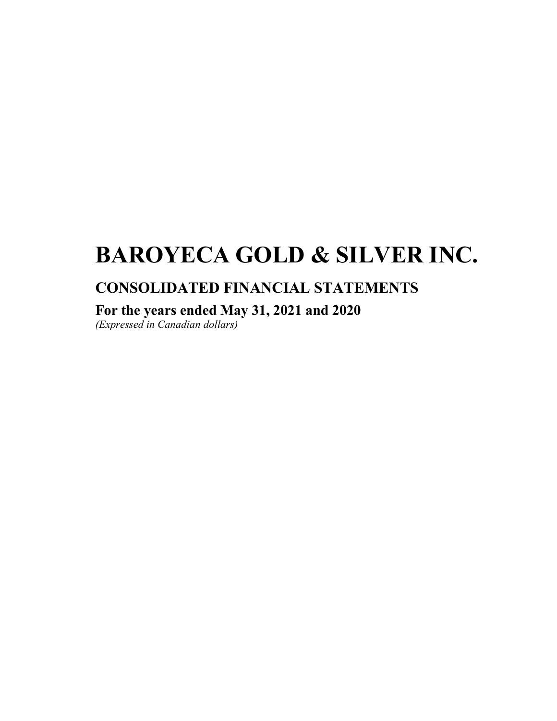# BAROYECA GOLD & SILVER INC.

# CONSOLIDATED FINANCIAL STATEMENTS

# For the years ended May 31, 2021 and 2020

(Expressed in Canadian dollars)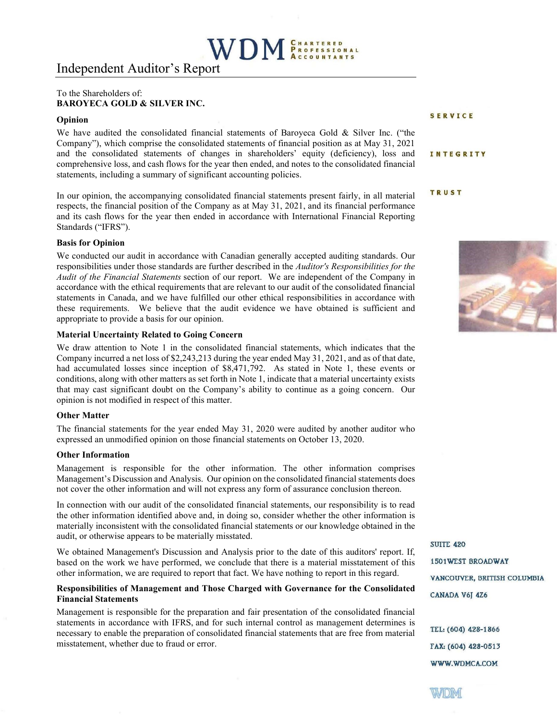### Independent Auditor's Report

#### To the Shareholders of: BAROYECA GOLD & SILVER INC.

#### Opinion

We have audited the consolidated financial statements of Baroyeca Gold & Silver Inc. ("the Company"), which comprise the consolidated statements of financial position as at May 31, 2021 and the consolidated statements of changes in shareholders' equity (deficiency), loss and comprehensive loss, and cash flows for the year then ended, and notes to the consolidated financial statements, including a summary of significant accounting policies.

In our opinion, the accompanying consolidated financial statements present fairly, in all material respects, the financial position of the Company as at May 31, 2021, and its financial performance and its cash flows for the year then ended in accordance with International Financial Reporting Standards ("IFRS").

#### Basis for Opinion

We conducted our audit in accordance with Canadian generally accepted auditing standards. Our responsibilities under those standards are further described in the Auditor's Responsibilities for the Audit of the Financial Statements section of our report. We are independent of the Company in accordance with the ethical requirements that are relevant to our audit of the consolidated financial statements in Canada, and we have fulfilled our other ethical responsibilities in accordance with these requirements. We believe that the audit evidence we have obtained is sufficient and appropriate to provide a basis for our opinion.

#### Material Uncertainty Related to Going Concern

We draw attention to Note 1 in the consolidated financial statements, which indicates that the Company incurred a net loss of \$2,243,213 during the year ended May 31, 2021, and as of that date, had accumulated losses since inception of \$8,471,792. As stated in Note 1, these events or conditions, along with other matters as set forth in Note 1, indicate that a material uncertainty exists that may cast significant doubt on the Company's ability to continue as a going concern. Our opinion is not modified in respect of this matter.

#### Other Matter

The financial statements for the year ended May 31, 2020 were audited by another auditor who expressed an unmodified opinion on those financial statements on October 13, 2020.

#### Other Information

Management is responsible for the other information. The other information comprises Management's Discussion and Analysis. Our opinion on the consolidated financial statements does not cover the other information and will not express any form of assurance conclusion thereon.

In connection with our audit of the consolidated financial statements, our responsibility is to read the other information identified above and, in doing so, consider whether the other information is materially inconsistent with the consolidated financial statements or our knowledge obtained in the audit, or otherwise appears to be materially misstated.

We obtained Management's Discussion and Analysis prior to the date of this auditors' report. If, based on the work we have performed, we conclude that there is a material misstatement of this other information, we are required to report that fact. We have nothing to report in this regard.

#### Responsibilities of Management and Those Charged with Governance for the Consolidated Financial Statements

Management is responsible for the preparation and fair presentation of the consolidated financial statements in accordance with IFRS, and for such internal control as management determines is necessary to enable the preparation of consolidated financial statements that are free from material misstatement, whether due to fraud or error.

SERVICE

#### INTEGRITY

**TRUST** 



**SUITE 420** 

1501WEST BROADWAY VANCOUVER, BRITISH COLUMBIA CANADA V6J 4Z6

TEL: (604) 428-1866 FAX: (604) 428-0513 WWW.WDMCA.COM

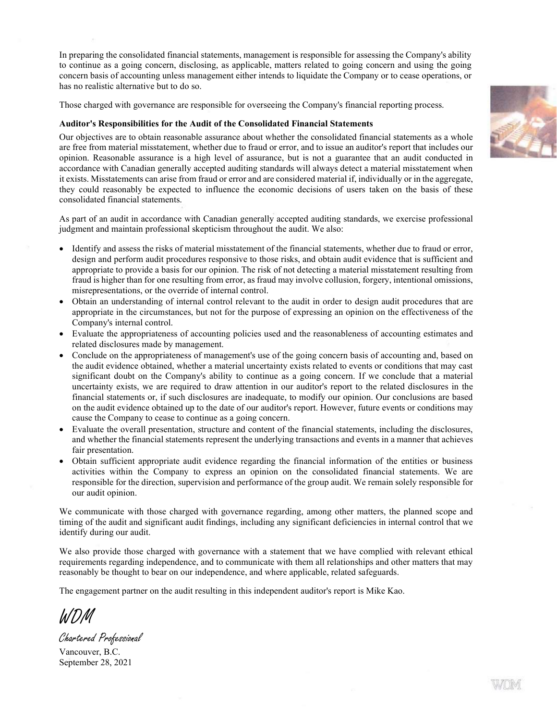In preparing the consolidated financial statements, management is responsible for assessing the Company's ability to continue as a going concern, disclosing, as applicable, matters related to going concern and using the going concern basis of accounting unless management either intends to liquidate the Company or to cease operations, or has no realistic alternative but to do so.

Those charged with governance are responsible for overseeing the Company's financial reporting process.

#### Auditor's Responsibilities for the Audit of the Consolidated Financial Statements

Our objectives are to obtain reasonable assurance about whether the consolidated financial statements as a whole are free from material misstatement, whether due to fraud or error, and to issue an auditor's report that includes our opinion. Reasonable assurance is a high level of assurance, but is not a guarantee that an audit conducted in accordance with Canadian generally accepted auditing standards will always detect a material misstatement when it exists. Misstatements can arise from fraud or error and are considered material if, individually or in the aggregate, they could reasonably be expected to influence the economic decisions of users taken on the basis of these consolidated financial statements.

As part of an audit in accordance with Canadian generally accepted auditing standards, we exercise professional judgment and maintain professional skepticism throughout the audit. We also:

- Identify and assess the risks of material misstatement of the financial statements, whether due to fraud or error, design and perform audit procedures responsive to those risks, and obtain audit evidence that is sufficient and appropriate to provide a basis for our opinion. The risk of not detecting a material misstatement resulting from fraud is higher than for one resulting from error, as fraud may involve collusion, forgery, intentional omissions, misrepresentations, or the override of internal control.
- Obtain an understanding of internal control relevant to the audit in order to design audit procedures that are appropriate in the circumstances, but not for the purpose of expressing an opinion on the effectiveness of the Company's internal control.
- Evaluate the appropriateness of accounting policies used and the reasonableness of accounting estimates and related disclosures made by management.
- Conclude on the appropriateness of management's use of the going concern basis of accounting and, based on the audit evidence obtained, whether a material uncertainty exists related to events or conditions that may cast significant doubt on the Company's ability to continue as a going concern. If we conclude that a material uncertainty exists, we are required to draw attention in our auditor's report to the related disclosures in the financial statements or, if such disclosures are inadequate, to modify our opinion. Our conclusions are based on the audit evidence obtained up to the date of our auditor's report. However, future events or conditions may cause the Company to cease to continue as a going concern.
- Evaluate the overall presentation, structure and content of the financial statements, including the disclosures, and whether the financial statements represent the underlying transactions and events in a manner that achieves fair presentation.
- Obtain sufficient appropriate audit evidence regarding the financial information of the entities or business activities within the Company to express an opinion on the consolidated financial statements. We are responsible for the direction, supervision and performance of the group audit. We remain solely responsible for our audit opinion.

We communicate with those charged with governance regarding, among other matters, the planned scope and timing of the audit and significant audit findings, including any significant deficiencies in internal control that we identify during our audit.

We also provide those charged with governance with a statement that we have complied with relevant ethical requirements regarding independence, and to communicate with them all relationships and other matters that may reasonably be thought to bear on our independence, and where applicable, related safeguards.

The engagement partner on the audit resulting in this independent auditor's report is Mike Kao.

WDM

Chartered Professional

Vancouver, B.C. September 28, 2021

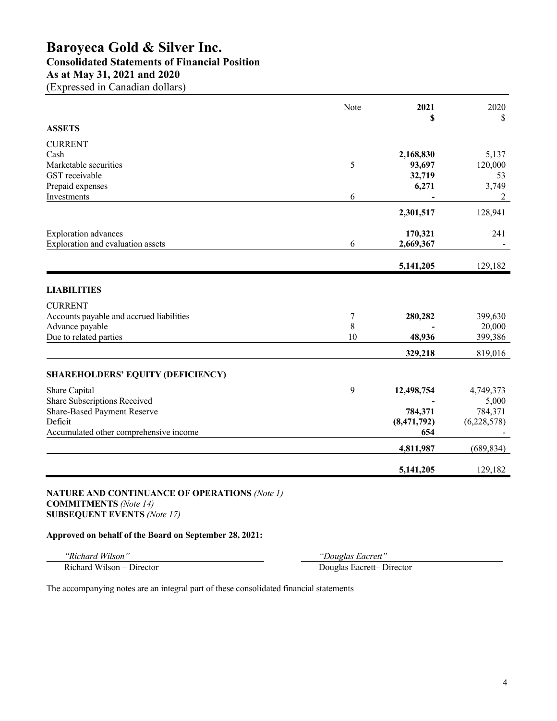# As at May 31, 2021 and 2020

(Expressed in Canadian dollars)

|                                          | Note | 2021<br>\$  | 2020<br>\$  |
|------------------------------------------|------|-------------|-------------|
| <b>ASSETS</b>                            |      |             |             |
| <b>CURRENT</b>                           |      |             |             |
| Cash                                     |      | 2,168,830   | 5,137       |
| Marketable securities                    | 5    | 93,697      | 120,000     |
| GST receivable                           |      | 32,719      | 53          |
| Prepaid expenses                         |      | 6,271       | 3,749       |
| Investments                              | 6    |             | 2           |
|                                          |      | 2,301,517   | 128,941     |
| <b>Exploration</b> advances              |      | 170,321     | 241         |
| Exploration and evaluation assets        | 6    | 2,669,367   |             |
|                                          |      |             |             |
|                                          |      | 5,141,205   | 129,182     |
| <b>LIABILITIES</b>                       |      |             |             |
| <b>CURRENT</b>                           |      |             |             |
| Accounts payable and accrued liabilities | 7    | 280,282     | 399,630     |
| Advance payable                          | 8    |             | 20,000      |
| Due to related parties                   | 10   | 48,936      | 399,386     |
|                                          |      | 329,218     | 819,016     |
| SHAREHOLDERS' EQUITY (DEFICIENCY)        |      |             |             |
| Share Capital                            | 9    | 12,498,754  | 4,749,373   |
| Share Subscriptions Received             |      |             | 5,000       |
| Share-Based Payment Reserve              |      | 784,371     | 784,371     |
| Deficit                                  |      | (8,471,792) | (6,228,578) |
| Accumulated other comprehensive income   |      | 654         |             |
|                                          |      | 4,811,987   | (689, 834)  |
|                                          |      | 5,141,205   | 129,182     |

#### NATURE AND CONTINUANCE OF OPERATIONS (Note 1) COMMITMENTS (Note 14) SUBSEQUENT EVENTS (Note 17)

#### Approved on behalf of the Board on September 28, 2021:

"Richard Wilson" "Douglas Eacrett"

Richard Wilson – Director Douglas Eacrett– Director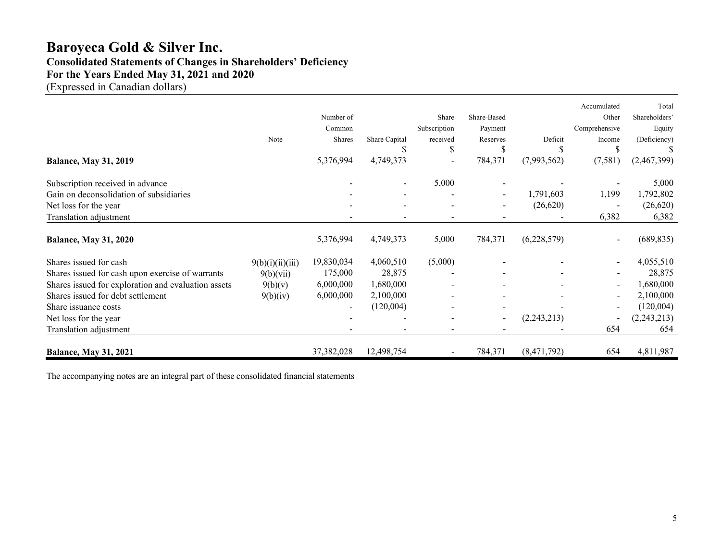### Baroyeca Gold & Silver Inc. Consolidated Statements of Changes in Shareholders' Deficiency For the Years Ended May 31, 2021 and 2020

(Expressed in Canadian dollars)

| <b>Balance, May 31, 2021</b>                        |                  | 37,382,028 | 12,498,754               |              | 784,371        | (8,471,792)   | 654                      | 4,811,987     |
|-----------------------------------------------------|------------------|------------|--------------------------|--------------|----------------|---------------|--------------------------|---------------|
| Translation adjustment                              |                  |            | $\overline{\phantom{a}}$ |              |                |               | 654                      | 654           |
| Net loss for the year                               |                  |            |                          |              | $\blacksquare$ | (2, 243, 213) |                          | (2,243,213)   |
| Share issuance costs                                |                  |            | (120,004)                |              |                |               | $\overline{\phantom{a}}$ | (120,004)     |
| Shares issued for debt settlement                   | 9(b)(iv)         | 6,000,000  | 2,100,000                |              |                |               |                          | 2,100,000     |
| Shares issued for exploration and evaluation assets | 9(b)(v)          | 6,000,000  | 1,680,000                |              |                |               |                          | 1,680,000     |
| Shares issued for cash upon exercise of warrants    | 9(b)(vii)        | 175,000    | 28,875                   |              |                |               |                          | 28,875        |
| Shares issued for cash                              | 9(b)(i)(ii)(iii) | 19,830,034 | 4,060,510                | (5,000)      |                |               |                          | 4,055,510     |
| <b>Balance, May 31, 2020</b>                        |                  | 5,376,994  | 4,749,373                | 5,000        | 784,371        | (6,228,579)   |                          | (689, 835)    |
| Translation adjustment                              |                  |            |                          |              |                |               | 6,382                    | 6,382         |
| Net loss for the year                               |                  |            | $\overline{\phantom{a}}$ |              | $\blacksquare$ | (26,620)      |                          | (26,620)      |
| Gain on deconsolidation of subsidiaries             |                  |            |                          |              | $\blacksquare$ | 1,791,603     | 1,199                    | 1,792,802     |
| Subscription received in advance                    |                  |            | $\overline{\phantom{a}}$ | 5,000        |                |               |                          | 5,000         |
| <b>Balance, May 31, 2019</b>                        |                  | 5,376,994  | 4,749,373                |              | 784,371        | (7,993,562)   | (7,581)                  | (2,467,399)   |
|                                                     |                  |            | S                        | \$           | \$             | \$            | <sup>\$</sup>            | S             |
|                                                     | Note             | Shares     | Share Capital            | received     | Reserves       | Deficit       | Income                   | (Deficiency)  |
|                                                     |                  | Common     |                          | Subscription | Payment        |               | Comprehensive            | Equity        |
|                                                     |                  | Number of  |                          | Share        | Share-Based    |               | Other                    | Shareholders' |
|                                                     |                  |            |                          |              |                |               | Accumulated              | Total         |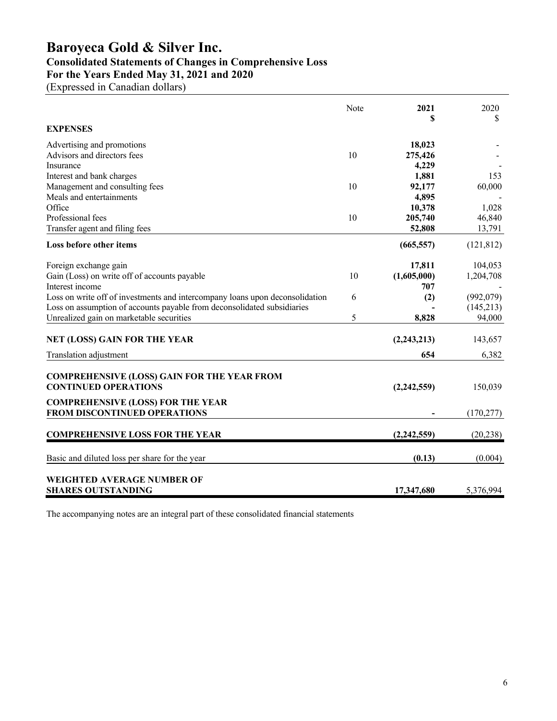### Baroyeca Gold & Silver Inc. Consolidated Statements of Changes in Comprehensive Loss For the Years Ended May 31, 2021 and 2020

(Expressed in Canadian dollars)

|                                                                                                                               | Note | 2021        | 2020       |
|-------------------------------------------------------------------------------------------------------------------------------|------|-------------|------------|
| <b>EXPENSES</b>                                                                                                               |      | \$          | \$         |
| Advertising and promotions                                                                                                    |      | 18,023      |            |
| Advisors and directors fees                                                                                                   | 10   | 275,426     |            |
| Insurance                                                                                                                     |      | 4,229       |            |
| Interest and bank charges                                                                                                     |      | 1,881       | 153        |
| Management and consulting fees                                                                                                | 10   | 92,177      | 60,000     |
| Meals and entertainments                                                                                                      |      | 4,895       |            |
| Office                                                                                                                        |      | 10,378      | 1,028      |
| Professional fees                                                                                                             | 10   | 205,740     | 46,840     |
| Transfer agent and filing fees                                                                                                |      | 52,808      | 13,791     |
| <b>Loss before other items</b>                                                                                                |      | (665, 557)  | (121, 812) |
| Foreign exchange gain                                                                                                         |      | 17,811      | 104,053    |
| Gain (Loss) on write off of accounts payable                                                                                  | 10   | (1,605,000) | 1,204,708  |
| Interest income                                                                                                               |      | 707         |            |
| Loss on write off of investments and intercompany loans upon deconsolidation                                                  | 6    | (2)         | (992,079)  |
| Loss on assumption of accounts payable from deconsolidated subsidiaries                                                       |      |             | (145,213)  |
| Unrealized gain on marketable securities                                                                                      | 5    | 8,828       | 94,000     |
| NET (LOSS) GAIN FOR THE YEAR                                                                                                  |      | (2,243,213) | 143,657    |
| Translation adjustment                                                                                                        |      | 654         | 6,382      |
| <b>COMPREHENSIVE (LOSS) GAIN FOR THE YEAR FROM</b><br><b>CONTINUED OPERATIONS</b><br><b>COMPREHENSIVE (LOSS) FOR THE YEAR</b> |      | (2,242,559) | 150,039    |
| FROM DISCONTINUED OPERATIONS                                                                                                  |      |             | (170, 277) |
| <b>COMPREHENSIVE LOSS FOR THE YEAR</b>                                                                                        |      | (2,242,559) | (20, 238)  |
| Basic and diluted loss per share for the year                                                                                 |      | (0.13)      | (0.004)    |
| <b>WEIGHTED AVERAGE NUMBER OF</b>                                                                                             |      |             |            |
| <b>SHARES OUTSTANDING</b>                                                                                                     |      | 17,347,680  | 5,376,994  |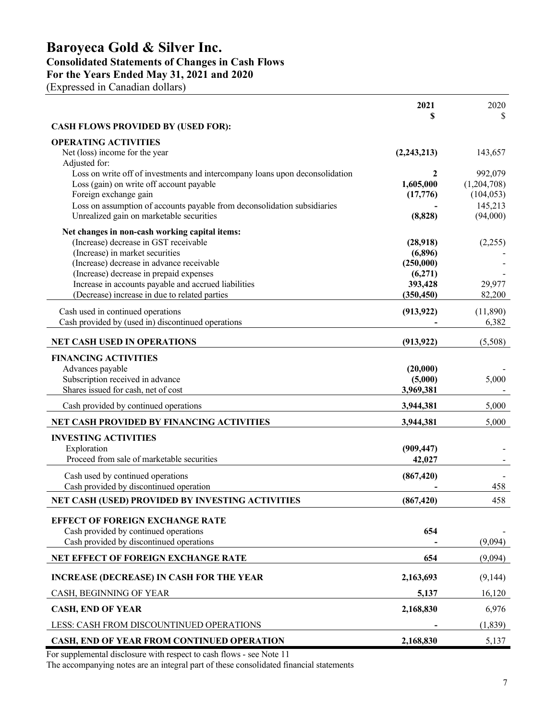# Baroyeca Gold & Silver Inc.

### Consolidated Statements of Changes in Cash Flows

For the Years Ended May 31, 2021 and 2020

(Expressed in Canadian dollars)

|                                                                                               | 2021        | 2020        |
|-----------------------------------------------------------------------------------------------|-------------|-------------|
|                                                                                               | S           | S           |
| <b>CASH FLOWS PROVIDED BY (USED FOR):</b>                                                     |             |             |
| <b>OPERATING ACTIVITIES</b>                                                                   |             |             |
| Net (loss) income for the year                                                                | (2,243,213) | 143,657     |
| Adjusted for:<br>Loss on write off of investments and intercompany loans upon deconsolidation | 2           | 992,079     |
| Loss (gain) on write off account payable                                                      | 1,605,000   | (1,204,708) |
| Foreign exchange gain                                                                         | (17,776)    | (104, 053)  |
| Loss on assumption of accounts payable from deconsolidation subsidiaries                      |             | 145,213     |
| Unrealized gain on marketable securities                                                      | (8,828)     | (94,000)    |
| Net changes in non-cash working capital items:                                                |             |             |
| (Increase) decrease in GST receivable                                                         | (28,918)    | (2,255)     |
| (Increase) in market securities                                                               | (6,896)     |             |
| (Increase) decrease in advance receivable                                                     | (250,000)   |             |
| (Increase) decrease in prepaid expenses                                                       | (6,271)     |             |
| Increase in accounts payable and accrued liabilities                                          | 393,428     | 29,977      |
| (Decrease) increase in due to related parties                                                 | (350, 450)  | 82,200      |
| Cash used in continued operations                                                             | (913, 922)  | (11,890)    |
| Cash provided by (used in) discontinued operations                                            |             | 6,382       |
|                                                                                               |             |             |
| <b>NET CASH USED IN OPERATIONS</b>                                                            | (913, 922)  | (5,508)     |
| <b>FINANCING ACTIVITIES</b>                                                                   |             |             |
| Advances payable                                                                              | (20,000)    |             |
| Subscription received in advance                                                              | (5,000)     | 5,000       |
| Shares issued for cash, net of cost                                                           | 3,969,381   |             |
| Cash provided by continued operations                                                         | 3,944,381   | 5,000       |
| NET CASH PROVIDED BY FINANCING ACTIVITIES                                                     | 3,944,381   | 5,000       |
| <b>INVESTING ACTIVITIES</b>                                                                   |             |             |
| Exploration                                                                                   | (909, 447)  |             |
| Proceed from sale of marketable securities                                                    | 42,027      |             |
| Cash used by continued operations                                                             | (867, 420)  |             |
| Cash provided by discontinued operation                                                       |             | 458         |
| NET CASH (USED) PROVIDED BY INVESTING ACTIVITIES                                              | (867, 420)  | 458         |
|                                                                                               |             |             |
| <b>EFFECT OF FOREIGN EXCHANGE RATE</b>                                                        |             |             |
| Cash provided by continued operations                                                         | 654         |             |
| Cash provided by discontinued operations                                                      |             | (9,094)     |
| NET EFFECT OF FOREIGN EXCHANGE RATE                                                           | 654         | (9,094)     |
| <b>INCREASE (DECREASE) IN CASH FOR THE YEAR</b>                                               | 2,163,693   | (9,144)     |
| CASH, BEGINNING OF YEAR                                                                       | 5,137       | 16,120      |
| <b>CASH, END OF YEAR</b>                                                                      | 2,168,830   | 6,976       |
| LESS: CASH FROM DISCOUNTINUED OPERATIONS                                                      |             | (1, 839)    |
| CASH, END OF YEAR FROM CONTINUED OPERATION                                                    | 2,168,830   | 5,137       |
|                                                                                               |             |             |

For supplemental disclosure with respect to cash flows - see Note 11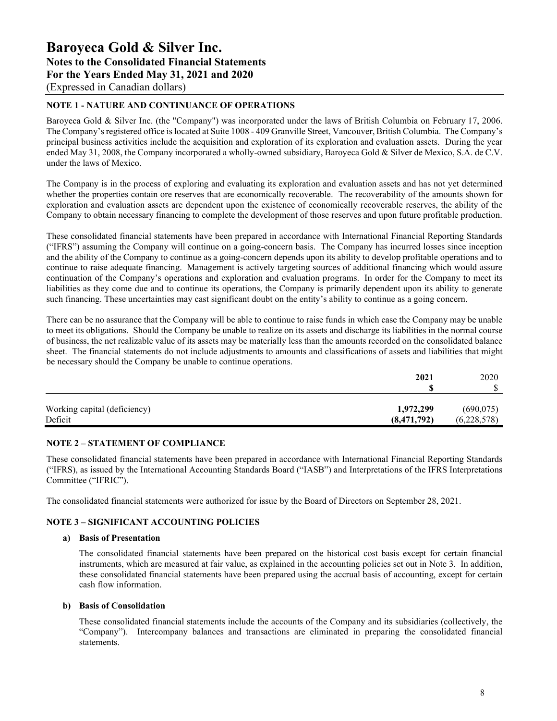(Expressed in Canadian dollars)

### NOTE 1 - NATURE AND CONTINUANCE OF OPERATIONS

Baroyeca Gold & Silver Inc. (the "Company") was incorporated under the laws of British Columbia on February 17, 2006. The Company's registered office is located at Suite 1008 - 409 Granville Street, Vancouver, British Columbia. The Company's principal business activities include the acquisition and exploration of its exploration and evaluation assets. During the year ended May 31, 2008, the Company incorporated a wholly-owned subsidiary, Baroyeca Gold & Silver de Mexico, S.A. de C.V. under the laws of Mexico.

The Company is in the process of exploring and evaluating its exploration and evaluation assets and has not yet determined whether the properties contain ore reserves that are economically recoverable. The recoverability of the amounts shown for exploration and evaluation assets are dependent upon the existence of economically recoverable reserves, the ability of the Company to obtain necessary financing to complete the development of those reserves and upon future profitable production.

These consolidated financial statements have been prepared in accordance with International Financial Reporting Standards ("IFRS") assuming the Company will continue on a going-concern basis. The Company has incurred losses since inception and the ability of the Company to continue as a going-concern depends upon its ability to develop profitable operations and to continue to raise adequate financing. Management is actively targeting sources of additional financing which would assure continuation of the Company's operations and exploration and evaluation programs. In order for the Company to meet its liabilities as they come due and to continue its operations, the Company is primarily dependent upon its ability to generate such financing. These uncertainties may cast significant doubt on the entity's ability to continue as a going concern.

There can be no assurance that the Company will be able to continue to raise funds in which case the Company may be unable to meet its obligations. Should the Company be unable to realize on its assets and discharge its liabilities in the normal course of business, the net realizable value of its assets may be materially less than the amounts recorded on the consolidated balance sheet. The financial statements do not include adjustments to amounts and classifications of assets and liabilities that might be necessary should the Company be unable to continue operations.

|                              | 2021          | 2020        |
|------------------------------|---------------|-------------|
| Working capital (deficiency) | 1,972,299     | (690,075)   |
| Deficit                      | (8, 471, 792) | (6,228,578) |

#### NOTE 2 – STATEMENT OF COMPLIANCE

These consolidated financial statements have been prepared in accordance with International Financial Reporting Standards ("IFRS), as issued by the International Accounting Standards Board ("IASB") and Interpretations of the IFRS Interpretations Committee ("IFRIC").

The consolidated financial statements were authorized for issue by the Board of Directors on September 28, 2021.

#### NOTE 3 – SIGNIFICANT ACCOUNTING POLICIES

#### a) Basis of Presentation

The consolidated financial statements have been prepared on the historical cost basis except for certain financial instruments, which are measured at fair value, as explained in the accounting policies set out in Note 3. In addition, these consolidated financial statements have been prepared using the accrual basis of accounting, except for certain cash flow information.

#### b) Basis of Consolidation

These consolidated financial statements include the accounts of the Company and its subsidiaries (collectively, the "Company"). Intercompany balances and transactions are eliminated in preparing the consolidated financial statements.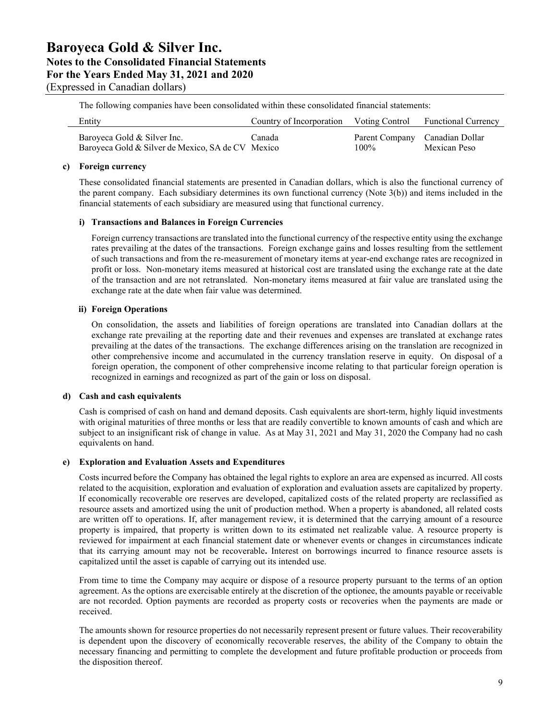### Baroyeca Gold & Silver Inc. Notes to the Consolidated Financial Statements For the Years Ended May 31, 2021 and 2020 (Expressed in Canadian dollars)

The following companies have been consolidated within these consolidated financial statements:

| Entity                                            | Country of Incorporation Voting Control Functional Currency |                                |              |
|---------------------------------------------------|-------------------------------------------------------------|--------------------------------|--------------|
| Baroyeca Gold & Silver Inc.                       | Canada                                                      | Parent Company Canadian Dollar |              |
| Baroyeca Gold & Silver de Mexico, SA de CV Mexico |                                                             | 100%                           | Mexican Peso |

#### c) Foreign currency

These consolidated financial statements are presented in Canadian dollars, which is also the functional currency of the parent company. Each subsidiary determines its own functional currency (Note 3(b)) and items included in the financial statements of each subsidiary are measured using that functional currency.

#### i) Transactions and Balances in Foreign Currencies

Foreign currency transactions are translated into the functional currency of the respective entity using the exchange rates prevailing at the dates of the transactions. Foreign exchange gains and losses resulting from the settlement of such transactions and from the re-measurement of monetary items at year-end exchange rates are recognized in profit or loss. Non-monetary items measured at historical cost are translated using the exchange rate at the date of the transaction and are not retranslated. Non-monetary items measured at fair value are translated using the exchange rate at the date when fair value was determined.

#### ii) Foreign Operations

On consolidation, the assets and liabilities of foreign operations are translated into Canadian dollars at the exchange rate prevailing at the reporting date and their revenues and expenses are translated at exchange rates prevailing at the dates of the transactions. The exchange differences arising on the translation are recognized in other comprehensive income and accumulated in the currency translation reserve in equity. On disposal of a foreign operation, the component of other comprehensive income relating to that particular foreign operation is recognized in earnings and recognized as part of the gain or loss on disposal.

#### d) Cash and cash equivalents

Cash is comprised of cash on hand and demand deposits. Cash equivalents are short-term, highly liquid investments with original maturities of three months or less that are readily convertible to known amounts of cash and which are subject to an insignificant risk of change in value. As at May 31, 2021 and May 31, 2020 the Company had no cash equivalents on hand.

#### e) Exploration and Evaluation Assets and Expenditures

Costs incurred before the Company has obtained the legal rights to explore an area are expensed as incurred. All costs related to the acquisition, exploration and evaluation of exploration and evaluation assets are capitalized by property. If economically recoverable ore reserves are developed, capitalized costs of the related property are reclassified as resource assets and amortized using the unit of production method. When a property is abandoned, all related costs are written off to operations. If, after management review, it is determined that the carrying amount of a resource property is impaired, that property is written down to its estimated net realizable value. A resource property is reviewed for impairment at each financial statement date or whenever events or changes in circumstances indicate that its carrying amount may not be recoverable. Interest on borrowings incurred to finance resource assets is capitalized until the asset is capable of carrying out its intended use.

From time to time the Company may acquire or dispose of a resource property pursuant to the terms of an option agreement. As the options are exercisable entirely at the discretion of the optionee, the amounts payable or receivable are not recorded. Option payments are recorded as property costs or recoveries when the payments are made or received.

The amounts shown for resource properties do not necessarily represent present or future values. Their recoverability is dependent upon the discovery of economically recoverable reserves, the ability of the Company to obtain the necessary financing and permitting to complete the development and future profitable production or proceeds from the disposition thereof.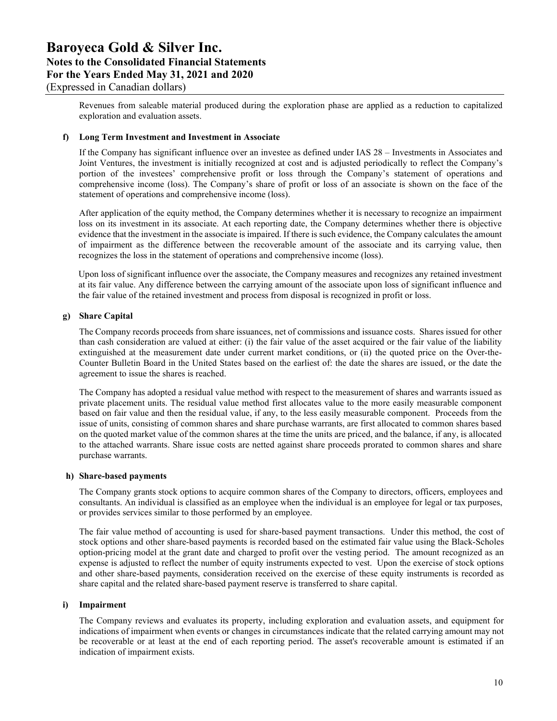Revenues from saleable material produced during the exploration phase are applied as a reduction to capitalized exploration and evaluation assets.

#### f) Long Term Investment and Investment in Associate

If the Company has significant influence over an investee as defined under IAS 28 – Investments in Associates and Joint Ventures, the investment is initially recognized at cost and is adjusted periodically to reflect the Company's portion of the investees' comprehensive profit or loss through the Company's statement of operations and comprehensive income (loss). The Company's share of profit or loss of an associate is shown on the face of the statement of operations and comprehensive income (loss).

 After application of the equity method, the Company determines whether it is necessary to recognize an impairment loss on its investment in its associate. At each reporting date, the Company determines whether there is objective evidence that the investment in the associate is impaired. If there is such evidence, the Company calculates the amount of impairment as the difference between the recoverable amount of the associate and its carrying value, then recognizes the loss in the statement of operations and comprehensive income (loss).

Upon loss of significant influence over the associate, the Company measures and recognizes any retained investment at its fair value. Any difference between the carrying amount of the associate upon loss of significant influence and the fair value of the retained investment and process from disposal is recognized in profit or loss.

#### g) Share Capital

The Company records proceeds from share issuances, net of commissions and issuance costs. Shares issued for other than cash consideration are valued at either: (i) the fair value of the asset acquired or the fair value of the liability extinguished at the measurement date under current market conditions, or (ii) the quoted price on the Over-the-Counter Bulletin Board in the United States based on the earliest of: the date the shares are issued, or the date the agreement to issue the shares is reached.

The Company has adopted a residual value method with respect to the measurement of shares and warrants issued as private placement units. The residual value method first allocates value to the more easily measurable component based on fair value and then the residual value, if any, to the less easily measurable component. Proceeds from the issue of units, consisting of common shares and share purchase warrants, are first allocated to common shares based on the quoted market value of the common shares at the time the units are priced, and the balance, if any, is allocated to the attached warrants. Share issue costs are netted against share proceeds prorated to common shares and share purchase warrants.

#### h) Share-based payments

The Company grants stock options to acquire common shares of the Company to directors, officers, employees and consultants. An individual is classified as an employee when the individual is an employee for legal or tax purposes, or provides services similar to those performed by an employee.

The fair value method of accounting is used for share-based payment transactions. Under this method, the cost of stock options and other share-based payments is recorded based on the estimated fair value using the Black-Scholes option-pricing model at the grant date and charged to profit over the vesting period. The amount recognized as an expense is adjusted to reflect the number of equity instruments expected to vest. Upon the exercise of stock options and other share-based payments, consideration received on the exercise of these equity instruments is recorded as share capital and the related share-based payment reserve is transferred to share capital.

#### i) Impairment

The Company reviews and evaluates its property, including exploration and evaluation assets, and equipment for indications of impairment when events or changes in circumstances indicate that the related carrying amount may not be recoverable or at least at the end of each reporting period. The asset's recoverable amount is estimated if an indication of impairment exists.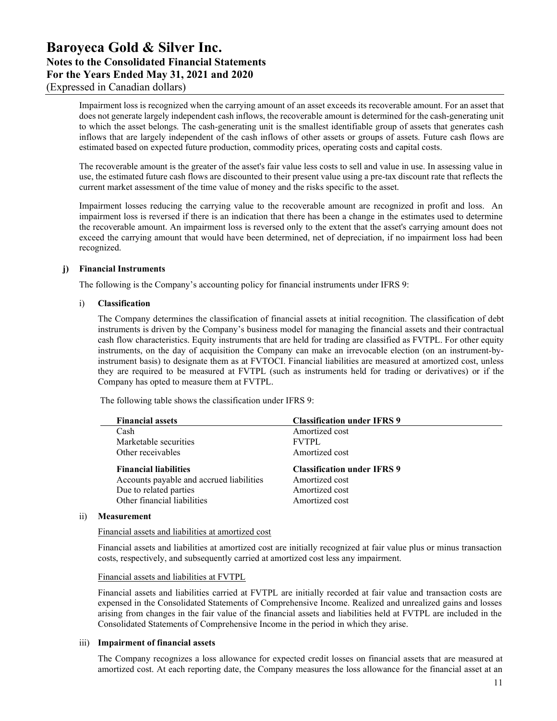### Baroyeca Gold & Silver Inc. Notes to the Consolidated Financial Statements For the Years Ended May 31, 2021 and 2020 (Expressed in Canadian dollars)

Impairment loss is recognized when the carrying amount of an asset exceeds its recoverable amount. For an asset that does not generate largely independent cash inflows, the recoverable amount is determined for the cash-generating unit to which the asset belongs. The cash-generating unit is the smallest identifiable group of assets that generates cash inflows that are largely independent of the cash inflows of other assets or groups of assets. Future cash flows are estimated based on expected future production, commodity prices, operating costs and capital costs.

The recoverable amount is the greater of the asset's fair value less costs to sell and value in use. In assessing value in use, the estimated future cash flows are discounted to their present value using a pre-tax discount rate that reflects the current market assessment of the time value of money and the risks specific to the asset.

Impairment losses reducing the carrying value to the recoverable amount are recognized in profit and loss. An impairment loss is reversed if there is an indication that there has been a change in the estimates used to determine the recoverable amount. An impairment loss is reversed only to the extent that the asset's carrying amount does not exceed the carrying amount that would have been determined, net of depreciation, if no impairment loss had been recognized.

#### j) Financial Instruments

The following is the Company's accounting policy for financial instruments under IFRS 9:

#### i) Classification

The Company determines the classification of financial assets at initial recognition. The classification of debt instruments is driven by the Company's business model for managing the financial assets and their contractual cash flow characteristics. Equity instruments that are held for trading are classified as FVTPL. For other equity instruments, on the day of acquisition the Company can make an irrevocable election (on an instrument-byinstrument basis) to designate them as at FVTOCI. Financial liabilities are measured at amortized cost, unless they are required to be measured at FVTPL (such as instruments held for trading or derivatives) or if the Company has opted to measure them at FVTPL.

The following table shows the classification under IFRS 9:

| <b>Financial assets</b>                  | <b>Classification under IFRS 9</b> |  |
|------------------------------------------|------------------------------------|--|
| Cash                                     | Amortized cost                     |  |
| Marketable securities                    | <b>FVTPL</b>                       |  |
| Other receivables                        | Amortized cost                     |  |
| <b>Financial liabilities</b>             | <b>Classification under IFRS 9</b> |  |
| Accounts payable and accrued liabilities | Amortized cost                     |  |
| Due to related parties                   | Amortized cost                     |  |
| Other financial liabilities              | Amortized cost                     |  |
|                                          |                                    |  |

#### ii) Measurement

Financial assets and liabilities at amortized cost

Financial assets and liabilities at amortized cost are initially recognized at fair value plus or minus transaction costs, respectively, and subsequently carried at amortized cost less any impairment.

#### Financial assets and liabilities at FVTPL

Financial assets and liabilities carried at FVTPL are initially recorded at fair value and transaction costs are expensed in the Consolidated Statements of Comprehensive Income. Realized and unrealized gains and losses arising from changes in the fair value of the financial assets and liabilities held at FVTPL are included in the Consolidated Statements of Comprehensive Income in the period in which they arise.

#### iii) Impairment of financial assets

The Company recognizes a loss allowance for expected credit losses on financial assets that are measured at amortized cost. At each reporting date, the Company measures the loss allowance for the financial asset at an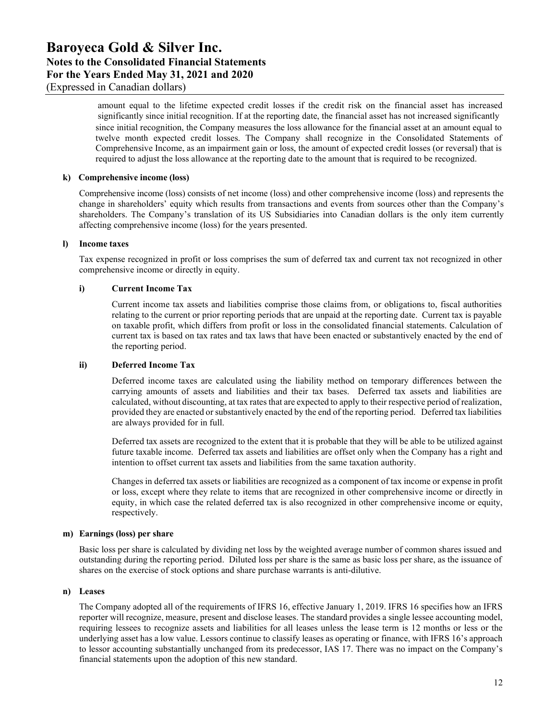### Baroyeca Gold & Silver Inc. Notes to the Consolidated Financial Statements For the Years Ended May 31, 2021 and 2020 (Expressed in Canadian dollars)

amount equal to the lifetime expected credit losses if the credit risk on the financial asset has increased significantly since initial recognition. If at the reporting date, the financial asset has not increased significantly since initial recognition, the Company measures the loss allowance for the financial asset at an amount equal to twelve month expected credit losses. The Company shall recognize in the Consolidated Statements of Comprehensive Income, as an impairment gain or loss, the amount of expected credit losses (or reversal) that is required to adjust the loss allowance at the reporting date to the amount that is required to be recognized.

#### k) Comprehensive income (loss)

Comprehensive income (loss) consists of net income (loss) and other comprehensive income (loss) and represents the change in shareholders' equity which results from transactions and events from sources other than the Company's shareholders. The Company's translation of its US Subsidiaries into Canadian dollars is the only item currently affecting comprehensive income (loss) for the years presented.

#### l) Income taxes

Tax expense recognized in profit or loss comprises the sum of deferred tax and current tax not recognized in other comprehensive income or directly in equity.

#### i) Current Income Tax

Current income tax assets and liabilities comprise those claims from, or obligations to, fiscal authorities relating to the current or prior reporting periods that are unpaid at the reporting date. Current tax is payable on taxable profit, which differs from profit or loss in the consolidated financial statements. Calculation of current tax is based on tax rates and tax laws that have been enacted or substantively enacted by the end of the reporting period.

#### ii) Deferred Income Tax

Deferred income taxes are calculated using the liability method on temporary differences between the carrying amounts of assets and liabilities and their tax bases. Deferred tax assets and liabilities are calculated, without discounting, at tax rates that are expected to apply to their respective period of realization, provided they are enacted or substantively enacted by the end of the reporting period. Deferred tax liabilities are always provided for in full.

Deferred tax assets are recognized to the extent that it is probable that they will be able to be utilized against future taxable income. Deferred tax assets and liabilities are offset only when the Company has a right and intention to offset current tax assets and liabilities from the same taxation authority.

Changes in deferred tax assets or liabilities are recognized as a component of tax income or expense in profit or loss, except where they relate to items that are recognized in other comprehensive income or directly in equity, in which case the related deferred tax is also recognized in other comprehensive income or equity, respectively.

#### m) Earnings (loss) per share

Basic loss per share is calculated by dividing net loss by the weighted average number of common shares issued and outstanding during the reporting period. Diluted loss per share is the same as basic loss per share, as the issuance of shares on the exercise of stock options and share purchase warrants is anti-dilutive.

#### n) Leases

The Company adopted all of the requirements of IFRS 16, effective January 1, 2019. IFRS 16 specifies how an IFRS reporter will recognize, measure, present and disclose leases. The standard provides a single lessee accounting model, requiring lessees to recognize assets and liabilities for all leases unless the lease term is 12 months or less or the underlying asset has a low value. Lessors continue to classify leases as operating or finance, with IFRS 16's approach to lessor accounting substantially unchanged from its predecessor, IAS 17. There was no impact on the Company's financial statements upon the adoption of this new standard.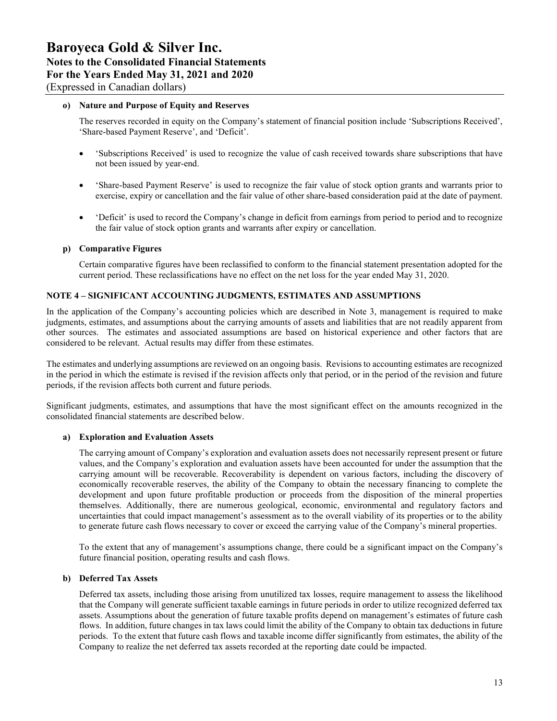#### o) Nature and Purpose of Equity and Reserves

The reserves recorded in equity on the Company's statement of financial position include 'Subscriptions Received', 'Share-based Payment Reserve', and 'Deficit'.

- 'Subscriptions Received' is used to recognize the value of cash received towards share subscriptions that have not been issued by year-end.
- 'Share-based Payment Reserve' is used to recognize the fair value of stock option grants and warrants prior to exercise, expiry or cancellation and the fair value of other share-based consideration paid at the date of payment.
- 'Deficit' is used to record the Company's change in deficit from earnings from period to period and to recognize the fair value of stock option grants and warrants after expiry or cancellation.

#### p) Comparative Figures

Certain comparative figures have been reclassified to conform to the financial statement presentation adopted for the current period. These reclassifications have no effect on the net loss for the year ended May 31, 2020.

#### NOTE 4 – SIGNIFICANT ACCOUNTING JUDGMENTS, ESTIMATES AND ASSUMPTIONS

In the application of the Company's accounting policies which are described in Note 3, management is required to make judgments, estimates, and assumptions about the carrying amounts of assets and liabilities that are not readily apparent from other sources. The estimates and associated assumptions are based on historical experience and other factors that are considered to be relevant. Actual results may differ from these estimates.

The estimates and underlying assumptions are reviewed on an ongoing basis. Revisions to accounting estimates are recognized in the period in which the estimate is revised if the revision affects only that period, or in the period of the revision and future periods, if the revision affects both current and future periods.

Significant judgments, estimates, and assumptions that have the most significant effect on the amounts recognized in the consolidated financial statements are described below.

#### a) Exploration and Evaluation Assets

The carrying amount of Company's exploration and evaluation assets does not necessarily represent present or future values, and the Company's exploration and evaluation assets have been accounted for under the assumption that the carrying amount will be recoverable. Recoverability is dependent on various factors, including the discovery of economically recoverable reserves, the ability of the Company to obtain the necessary financing to complete the development and upon future profitable production or proceeds from the disposition of the mineral properties themselves. Additionally, there are numerous geological, economic, environmental and regulatory factors and uncertainties that could impact management's assessment as to the overall viability of its properties or to the ability to generate future cash flows necessary to cover or exceed the carrying value of the Company's mineral properties.

To the extent that any of management's assumptions change, there could be a significant impact on the Company's future financial position, operating results and cash flows.

#### b) Deferred Tax Assets

Deferred tax assets, including those arising from unutilized tax losses, require management to assess the likelihood that the Company will generate sufficient taxable earnings in future periods in order to utilize recognized deferred tax assets. Assumptions about the generation of future taxable profits depend on management's estimates of future cash flows. In addition, future changes in tax laws could limit the ability of the Company to obtain tax deductions in future periods. To the extent that future cash flows and taxable income differ significantly from estimates, the ability of the Company to realize the net deferred tax assets recorded at the reporting date could be impacted.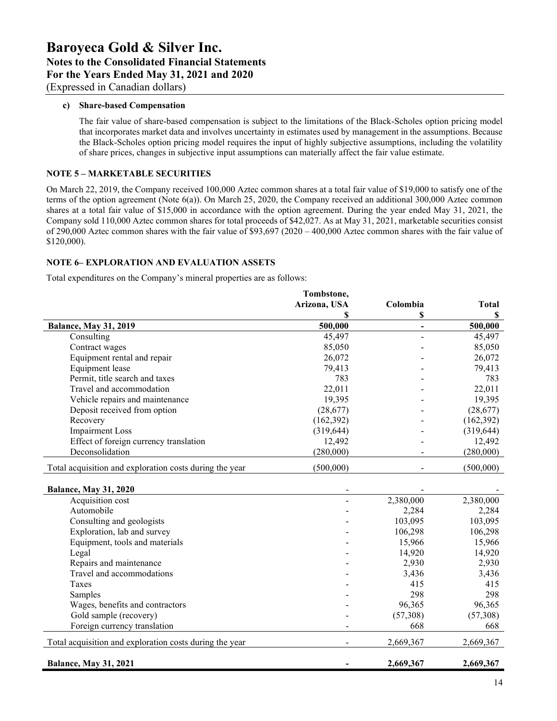### Baroyeca Gold & Silver Inc. Notes to the Consolidated Financial Statements For the Years Ended May 31, 2021 and 2020 (Expressed in Canadian dollars)

### c) Share-based Compensation

The fair value of share-based compensation is subject to the limitations of the Black-Scholes option pricing model that incorporates market data and involves uncertainty in estimates used by management in the assumptions. Because the Black-Scholes option pricing model requires the input of highly subjective assumptions, including the volatility of share prices, changes in subjective input assumptions can materially affect the fair value estimate.

#### NOTE 5 – MARKETABLE SECURITIES

On March 22, 2019, the Company received 100,000 Aztec common shares at a total fair value of \$19,000 to satisfy one of the terms of the option agreement (Note 6(a)). On March 25, 2020, the Company received an additional 300,000 Aztec common shares at a total fair value of \$15,000 in accordance with the option agreement. During the year ended May 31, 2021, the Company sold 110,000 Aztec common shares for total proceeds of \$42,027. As at May 31, 2021, marketable securities consist of 290,000 Aztec common shares with the fair value of \$93,697 (2020 – 400,000 Aztec common shares with the fair value of \$120,000).

#### NOTE 6– EXPLORATION AND EVALUATION ASSETS

Total expenditures on the Company's mineral properties are as follows:

|                                                         | Tombstone,   |                |              |
|---------------------------------------------------------|--------------|----------------|--------------|
|                                                         | Arizona, USA | Colombia       | <b>Total</b> |
|                                                         | \$           | S              | S            |
| <b>Balance, May 31, 2019</b>                            | 500,000      | $\blacksquare$ | 500,000      |
| Consulting                                              | 45,497       | $\sim$         | 45,497       |
| Contract wages                                          | 85,050       |                | 85,050       |
| Equipment rental and repair                             | 26,072       |                | 26,072       |
| Equipment lease                                         | 79,413       |                | 79,413       |
| Permit, title search and taxes                          | 783          |                | 783          |
| Travel and accommodation                                | 22,011       |                | 22,011       |
| Vehicle repairs and maintenance                         | 19,395       |                | 19,395       |
| Deposit received from option                            | (28, 677)    |                | (28,677)     |
| Recovery                                                | (162, 392)   |                | (162,392)    |
| <b>Impairment Loss</b>                                  | (319, 644)   |                | (319, 644)   |
| Effect of foreign currency translation                  | 12,492       |                | 12,492       |
| Deconsolidation                                         | (280,000)    |                | (280,000)    |
| Total acquisition and exploration costs during the year | (500,000)    |                | (500,000)    |
| <b>Balance, May 31, 2020</b>                            |              |                |              |
| Acquisition cost                                        | Ξ.           | 2,380,000      | 2,380,000    |
| Automobile                                              |              | 2,284          | 2,284        |
| Consulting and geologists                               |              | 103,095        | 103,095      |
| Exploration, lab and survey                             |              | 106,298        | 106,298      |
| Equipment, tools and materials                          |              | 15,966         | 15,966       |
| Legal                                                   |              | 14,920         | 14,920       |
| Repairs and maintenance                                 |              | 2,930          | 2,930        |
| Travel and accommodations                               |              | 3,436          | 3,436        |
| Taxes                                                   |              | 415            | 415          |
| Samples                                                 |              | 298            | 298          |
| Wages, benefits and contractors                         |              | 96,365         | 96,365       |
| Gold sample (recovery)                                  |              | (57,308)       | (57, 308)    |
| Foreign currency translation                            |              | 668            | 668          |
| Total acquisition and exploration costs during the year |              | 2,669,367      | 2,669,367    |
| <b>Balance, May 31, 2021</b>                            |              | 2,669,367      | 2,669,367    |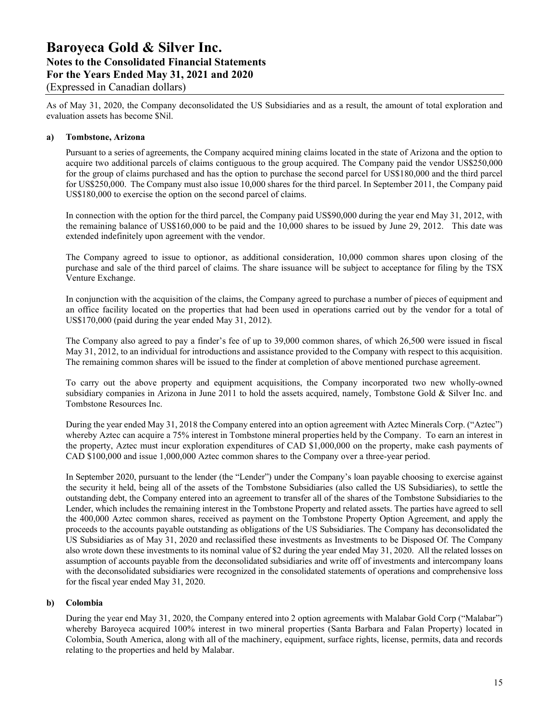(Expressed in Canadian dollars)

As of May 31, 2020, the Company deconsolidated the US Subsidiaries and as a result, the amount of total exploration and evaluation assets has become \$Nil.

#### a) Tombstone, Arizona

Pursuant to a series of agreements, the Company acquired mining claims located in the state of Arizona and the option to acquire two additional parcels of claims contiguous to the group acquired. The Company paid the vendor US\$250,000 for the group of claims purchased and has the option to purchase the second parcel for US\$180,000 and the third parcel for US\$250,000. The Company must also issue 10,000 shares for the third parcel. In September 2011, the Company paid US\$180,000 to exercise the option on the second parcel of claims.

In connection with the option for the third parcel, the Company paid US\$90,000 during the year end May 31, 2012, with the remaining balance of US\$160,000 to be paid and the 10,000 shares to be issued by June 29, 2012. This date was extended indefinitely upon agreement with the vendor.

The Company agreed to issue to optionor, as additional consideration, 10,000 common shares upon closing of the purchase and sale of the third parcel of claims. The share issuance will be subject to acceptance for filing by the TSX Venture Exchange.

In conjunction with the acquisition of the claims, the Company agreed to purchase a number of pieces of equipment and an office facility located on the properties that had been used in operations carried out by the vendor for a total of US\$170,000 (paid during the year ended May 31, 2012).

The Company also agreed to pay a finder's fee of up to 39,000 common shares, of which 26,500 were issued in fiscal May 31, 2012, to an individual for introductions and assistance provided to the Company with respect to this acquisition. The remaining common shares will be issued to the finder at completion of above mentioned purchase agreement.

To carry out the above property and equipment acquisitions, the Company incorporated two new wholly-owned subsidiary companies in Arizona in June 2011 to hold the assets acquired, namely, Tombstone Gold & Silver Inc. and Tombstone Resources Inc.

During the year ended May 31, 2018 the Company entered into an option agreement with Aztec Minerals Corp. ("Aztec") whereby Aztec can acquire a 75% interest in Tombstone mineral properties held by the Company. To earn an interest in the property, Aztec must incur exploration expenditures of CAD \$1,000,000 on the property, make cash payments of CAD \$100,000 and issue 1,000,000 Aztec common shares to the Company over a three-year period.

In September 2020, pursuant to the lender (the "Lender") under the Company's loan payable choosing to exercise against the security it held, being all of the assets of the Tombstone Subsidiaries (also called the US Subsidiaries), to settle the outstanding debt, the Company entered into an agreement to transfer all of the shares of the Tombstone Subsidiaries to the Lender, which includes the remaining interest in the Tombstone Property and related assets. The parties have agreed to sell the 400,000 Aztec common shares, received as payment on the Tombstone Property Option Agreement, and apply the proceeds to the accounts payable outstanding as obligations of the US Subsidiaries. The Company has deconsolidated the US Subsidiaries as of May 31, 2020 and reclassified these investments as Investments to be Disposed Of. The Company also wrote down these investments to its nominal value of \$2 during the year ended May 31, 2020. All the related losses on assumption of accounts payable from the deconsolidated subsidiaries and write off of investments and intercompany loans with the deconsolidated subsidiaries were recognized in the consolidated statements of operations and comprehensive loss for the fiscal year ended May 31, 2020.

#### b) Colombia

During the year end May 31, 2020, the Company entered into 2 option agreements with Malabar Gold Corp ("Malabar") whereby Baroyeca acquired 100% interest in two mineral properties (Santa Barbara and Falan Property) located in Colombia, South America, along with all of the machinery, equipment, surface rights, license, permits, data and records relating to the properties and held by Malabar.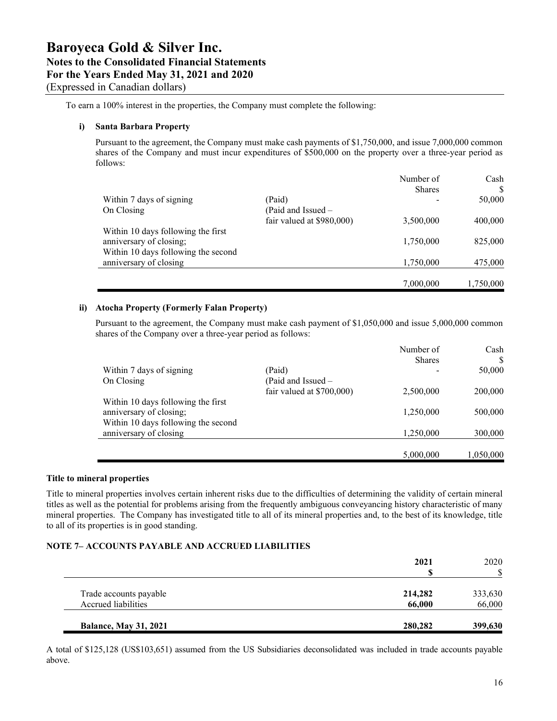To earn a 100% interest in the properties, the Company must complete the following:

#### i) Santa Barbara Property

Pursuant to the agreement, the Company must make cash payments of \$1,750,000, and issue 7,000,000 common shares of the Company and must incur expenditures of \$500,000 on the property over a three-year period as follows:

|                                     |                           | Number of     | Cash      |
|-------------------------------------|---------------------------|---------------|-----------|
|                                     |                           | <b>Shares</b> |           |
| Within 7 days of signing            | (Paid)                    |               | 50,000    |
| On Closing                          | (Paid and Issued -        |               |           |
|                                     | fair valued at \$980,000) | 3,500,000     | 400,000   |
| Within 10 days following the first  |                           |               |           |
| anniversary of closing;             |                           | 1,750,000     | 825,000   |
| Within 10 days following the second |                           |               |           |
| anniversary of closing              |                           | 1,750,000     | 475,000   |
|                                     |                           |               |           |
|                                     |                           | 7,000,000     | 1,750,000 |

#### ii) Atocha Property (Formerly Falan Property)

Pursuant to the agreement, the Company must make cash payment of \$1,050,000 and issue 5,000,000 common shares of the Company over a three-year period as follows:

|                                     |                           | Number of     | Cash      |
|-------------------------------------|---------------------------|---------------|-----------|
|                                     |                           | <b>Shares</b> |           |
| Within 7 days of signing            | (Paid)                    |               | 50,000    |
| On Closing                          | (Paid and Issued –        |               |           |
|                                     | fair valued at \$700,000) | 2,500,000     | 200,000   |
| Within 10 days following the first  |                           |               |           |
| anniversary of closing;             |                           | 1,250,000     | 500,000   |
| Within 10 days following the second |                           |               |           |
| anniversary of closing              |                           | 1,250,000     | 300,000   |
|                                     |                           |               |           |
|                                     |                           | 5,000,000     | 1,050,000 |

#### Title to mineral properties

Title to mineral properties involves certain inherent risks due to the difficulties of determining the validity of certain mineral titles as well as the potential for problems arising from the frequently ambiguous conveyancing history characteristic of many mineral properties. The Company has investigated title to all of its mineral properties and, to the best of its knowledge, title to all of its properties is in good standing.

#### NOTE 7– ACCOUNTS PAYABLE AND ACCRUED LIABILITIES

|                              | 2021<br>S | 2020<br>S |
|------------------------------|-----------|-----------|
| Trade accounts payable       | 214,282   | 333,630   |
| Accrued liabilities          | 66,000    | 66,000    |
| <b>Balance, May 31, 2021</b> | 280,282   | 399,630   |

A total of \$125,128 (US\$103,651) assumed from the US Subsidiaries deconsolidated was included in trade accounts payable above.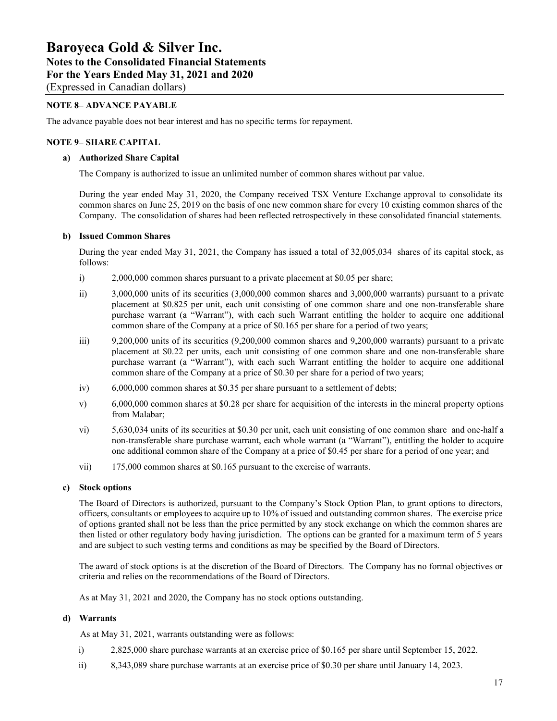(Expressed in Canadian dollars)

#### NOTE 8– ADVANCE PAYABLE

The advance payable does not bear interest and has no specific terms for repayment.

#### NOTE 9– SHARE CAPITAL

#### a) Authorized Share Capital

The Company is authorized to issue an unlimited number of common shares without par value.

During the year ended May 31, 2020, the Company received TSX Venture Exchange approval to consolidate its common shares on June 25, 2019 on the basis of one new common share for every 10 existing common shares of the Company. The consolidation of shares had been reflected retrospectively in these consolidated financial statements.

#### b) Issued Common Shares

During the year ended May 31, 2021, the Company has issued a total of 32,005,034 shares of its capital stock, as follows:

- i) 2,000,000 common shares pursuant to a private placement at \$0.05 per share;
- ii) 3,000,000 units of its securities (3,000,000 common shares and 3,000,000 warrants) pursuant to a private placement at \$0.825 per unit, each unit consisting of one common share and one non-transferable share purchase warrant (a "Warrant"), with each such Warrant entitling the holder to acquire one additional common share of the Company at a price of \$0.165 per share for a period of two years;
- iii) 9,200,000 units of its securities (9,200,000 common shares and 9,200,000 warrants) pursuant to a private placement at \$0.22 per units, each unit consisting of one common share and one non-transferable share purchase warrant (a "Warrant"), with each such Warrant entitling the holder to acquire one additional common share of the Company at a price of \$0.30 per share for a period of two years;
- iv) 6,000,000 common shares at \$0.35 per share pursuant to a settlement of debts;
- v) 6,000,000 common shares at \$0.28 per share for acquisition of the interests in the mineral property options from Malabar;
- vi) 5,630,034 units of its securities at \$0.30 per unit, each unit consisting of one common share and one-half a non-transferable share purchase warrant, each whole warrant (a "Warrant"), entitling the holder to acquire one additional common share of the Company at a price of \$0.45 per share for a period of one year; and
- vii) 175,000 common shares at \$0.165 pursuant to the exercise of warrants.

#### c) Stock options

The Board of Directors is authorized, pursuant to the Company's Stock Option Plan, to grant options to directors, officers, consultants or employees to acquire up to 10% of issued and outstanding common shares. The exercise price of options granted shall not be less than the price permitted by any stock exchange on which the common shares are then listed or other regulatory body having jurisdiction. The options can be granted for a maximum term of 5 years and are subject to such vesting terms and conditions as may be specified by the Board of Directors.

The award of stock options is at the discretion of the Board of Directors. The Company has no formal objectives or criteria and relies on the recommendations of the Board of Directors.

As at May 31, 2021 and 2020, the Company has no stock options outstanding.

#### d) Warrants

As at May 31, 2021, warrants outstanding were as follows:

- i) 2,825,000 share purchase warrants at an exercise price of \$0.165 per share until September 15, 2022.
- ii) 8,343,089 share purchase warrants at an exercise price of \$0.30 per share until January 14, 2023.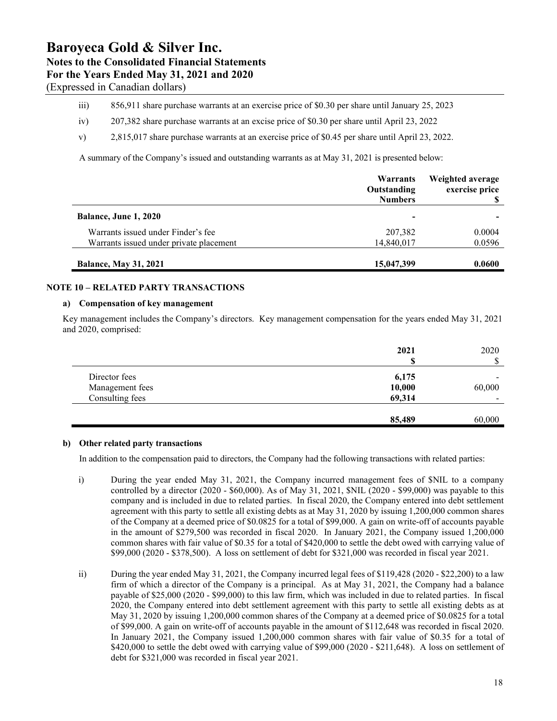(Expressed in Canadian dollars)

- iii) 856,911 share purchase warrants at an exercise price of \$0.30 per share until January 25, 2023
- iv) 207,382 share purchase warrants at an excise price of \$0.30 per share until April 23, 2022
- v) 2,815,017 share purchase warrants at an exercise price of \$0.45 per share until April 23, 2022.

A summary of the Company's issued and outstanding warrants as at May 31, 2021 is presented below:

|                                         | Warrants<br>Outstanding<br><b>Numbers</b> | Weighted average<br>exercise price |
|-----------------------------------------|-------------------------------------------|------------------------------------|
| Balance, June 1, 2020                   | $\overline{\phantom{0}}$                  |                                    |
| Warrants issued under Finder's fee      | 207,382                                   | 0.0004                             |
| Warrants issued under private placement | 14,840,017                                | 0.0596                             |
| <b>Balance, May 31, 2021</b>            | 15,047,399                                | 0.0600                             |

#### NOTE 10 – RELATED PARTY TRANSACTIONS

#### a) Compensation of key management

Key management includes the Company's directors. Key management compensation for the years ended May 31, 2021 and 2020, comprised:

|                 | 2021   | 2020<br>¢<br>P |
|-----------------|--------|----------------|
| Director fees   | 6,175  |                |
| Management fees | 10,000 | 60,000         |
| Consulting fees | 69,314 |                |
|                 |        |                |
|                 | 85,489 | 60,000         |

#### b) Other related party transactions

In addition to the compensation paid to directors, the Company had the following transactions with related parties:

- i) During the year ended May 31, 2021, the Company incurred management fees of \$NIL to a company controlled by a director (2020 - \$60,000). As of May 31, 2021, \$NIL (2020 - \$99,000) was payable to this company and is included in due to related parties. In fiscal 2020, the Company entered into debt settlement agreement with this party to settle all existing debts as at May 31, 2020 by issuing 1,200,000 common shares of the Company at a deemed price of \$0.0825 for a total of \$99,000. A gain on write-off of accounts payable in the amount of \$279,500 was recorded in fiscal 2020. In January 2021, the Company issued 1,200,000 common shares with fair value of \$0.35 for a total of \$420,000 to settle the debt owed with carrying value of \$99,000 (2020 - \$378,500). A loss on settlement of debt for \$321,000 was recorded in fiscal year 2021.
- ii) During the year ended May 31, 2021, the Company incurred legal fees of \$119,428 (2020 \$22,200) to a law firm of which a director of the Company is a principal. As at May 31, 2021, the Company had a balance payable of \$25,000 (2020 - \$99,000) to this law firm, which was included in due to related parties. In fiscal 2020, the Company entered into debt settlement agreement with this party to settle all existing debts as at May 31, 2020 by issuing 1,200,000 common shares of the Company at a deemed price of \$0.0825 for a total of \$99,000. A gain on write-off of accounts payable in the amount of \$112,648 was recorded in fiscal 2020. In January 2021, the Company issued 1,200,000 common shares with fair value of \$0.35 for a total of \$420,000 to settle the debt owed with carrying value of \$99,000 (2020 - \$211,648). A loss on settlement of debt for \$321,000 was recorded in fiscal year 2021.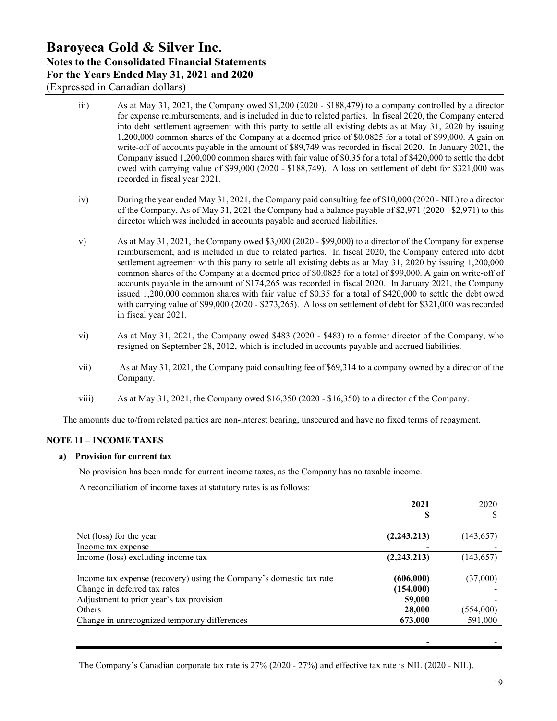(Expressed in Canadian dollars)

- iii) As at May 31, 2021, the Company owed \$1,200 (2020 \$188,479) to a company controlled by a director for expense reimbursements, and is included in due to related parties. In fiscal 2020, the Company entered into debt settlement agreement with this party to settle all existing debts as at May 31, 2020 by issuing 1,200,000 common shares of the Company at a deemed price of \$0.0825 for a total of \$99,000. A gain on write-off of accounts payable in the amount of \$89,749 was recorded in fiscal 2020. In January 2021, the Company issued 1,200,000 common shares with fair value of \$0.35 for a total of \$420,000 to settle the debt owed with carrying value of \$99,000 (2020 - \$188,749). A loss on settlement of debt for \$321,000 was recorded in fiscal year 2021.
- iv) During the year ended May 31, 2021, the Company paid consulting fee of \$10,000 (2020 NIL) to a director of the Company, As of May 31, 2021 the Company had a balance payable of \$2,971 (2020 - \$2,971) to this director which was included in accounts payable and accrued liabilities.
- v) As at May 31, 2021, the Company owed \$3,000 (2020 \$99,000) to a director of the Company for expense reimbursement, and is included in due to related parties. In fiscal 2020, the Company entered into debt settlement agreement with this party to settle all existing debts as at May 31, 2020 by issuing 1,200,000 common shares of the Company at a deemed price of \$0.0825 for a total of \$99,000. A gain on write-off of accounts payable in the amount of \$174,265 was recorded in fiscal 2020. In January 2021, the Company issued 1,200,000 common shares with fair value of \$0.35 for a total of \$420,000 to settle the debt owed with carrying value of \$99,000 (2020 - \$273,265). A loss on settlement of debt for \$321,000 was recorded in fiscal year 2021.
- vi) As at May 31, 2021, the Company owed \$483 (2020 \$483) to a former director of the Company, who resigned on September 28, 2012, which is included in accounts payable and accrued liabilities.
- vii) As at May 31, 2021, the Company paid consulting fee of \$69,314 to a company owned by a director of the Company.
- viii) As at May 31, 2021, the Company owed \$16,350 (2020 \$16,350) to a director of the Company.

The amounts due to/from related parties are non-interest bearing, unsecured and have no fixed terms of repayment.

#### NOTE 11 – INCOME TAXES

#### a) Provision for current tax

No provision has been made for current income taxes, as the Company has no taxable income.

A reconciliation of income taxes at statutory rates is as follows:

|                                                                     | 2021          | 2020       |
|---------------------------------------------------------------------|---------------|------------|
|                                                                     | S             | S          |
|                                                                     |               |            |
| Net (loss) for the year                                             | (2,243,213)   | (143, 657) |
| Income tax expense                                                  |               |            |
| Income (loss) excluding income tax                                  | (2, 243, 213) | (143, 657) |
| Income tax expense (recovery) using the Company's domestic tax rate | (606,000)     | (37,000)   |
| Change in deferred tax rates                                        | (154,000)     |            |
| Adjustment to prior year's tax provision                            | 59,000        |            |
| Others                                                              | 28,000        | (554,000)  |
| Change in unrecognized temporary differences                        | 673,000       | 591,000    |
|                                                                     |               |            |
|                                                                     |               |            |

The Company's Canadian corporate tax rate is 27% (2020 - 27%) and effective tax rate is NIL (2020 - NIL).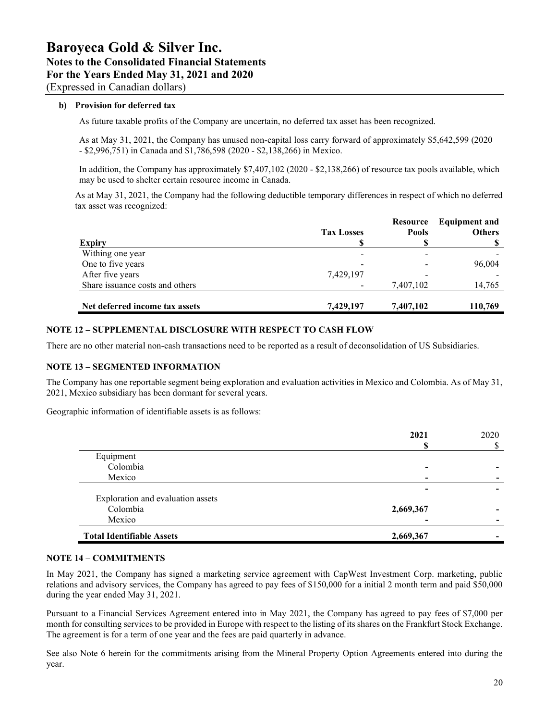b) Provision for deferred tax

As future taxable profits of the Company are uncertain, no deferred tax asset has been recognized.

As at May 31, 2021, the Company has unused non-capital loss carry forward of approximately \$5,642,599 (2020 - \$2,996,751) in Canada and \$1,786,598 (2020 - \$2,138,266) in Mexico.

In addition, the Company has approximately  $$7,407,102$  (2020 - \$2,138,266) of resource tax pools available, which may be used to shelter certain resource income in Canada.

As at May 31, 2021, the Company had the following deductible temporary differences in respect of which no deferred tax asset was recognized:

|                                 | <b>Tax Losses</b> | Resource<br><b>Pools</b> | <b>Equipment and</b><br><b>Others</b> |
|---------------------------------|-------------------|--------------------------|---------------------------------------|
| Expiry                          |                   |                          |                                       |
| Withing one year                |                   |                          |                                       |
| One to five years               |                   |                          | 96,004                                |
| After five years                | 7,429,197         |                          |                                       |
| Share issuance costs and others |                   | 7,407,102                | 14,765                                |
|                                 |                   |                          |                                       |
| Net deferred income tax assets  | 7,429,197         | 7,407,102                | 110,769                               |

#### NOTE 12 – SUPPLEMENTAL DISCLOSURE WITH RESPECT TO CASH FLOW

There are no other material non-cash transactions need to be reported as a result of deconsolidation of US Subsidiaries.

#### NOTE 13 – SEGMENTED INFORMATION

The Company has one reportable segment being exploration and evaluation activities in Mexico and Colombia. As of May 31, 2021, Mexico subsidiary has been dormant for several years.

Geographic information of identifiable assets is as follows:

|                                   | 2021      | 2020 |
|-----------------------------------|-----------|------|
|                                   |           |      |
| Equipment                         |           |      |
| Colombia                          |           |      |
| Mexico                            |           |      |
|                                   |           |      |
| Exploration and evaluation assets |           |      |
| Colombia                          | 2,669,367 |      |
| Mexico                            |           |      |
| <b>Total Identifiable Assets</b>  | 2,669,367 |      |

#### NOTE 14 – COMMITMENTS

In May 2021, the Company has signed a marketing service agreement with CapWest Investment Corp. marketing, public relations and advisory services, the Company has agreed to pay fees of \$150,000 for a initial 2 month term and paid \$50,000 during the year ended May 31, 2021.

Pursuant to a Financial Services Agreement entered into in May 2021, the Company has agreed to pay fees of \$7,000 per month for consulting services to be provided in Europe with respect to the listing of its shares on the Frankfurt Stock Exchange. The agreement is for a term of one year and the fees are paid quarterly in advance.

See also Note 6 herein for the commitments arising from the Mineral Property Option Agreements entered into during the year.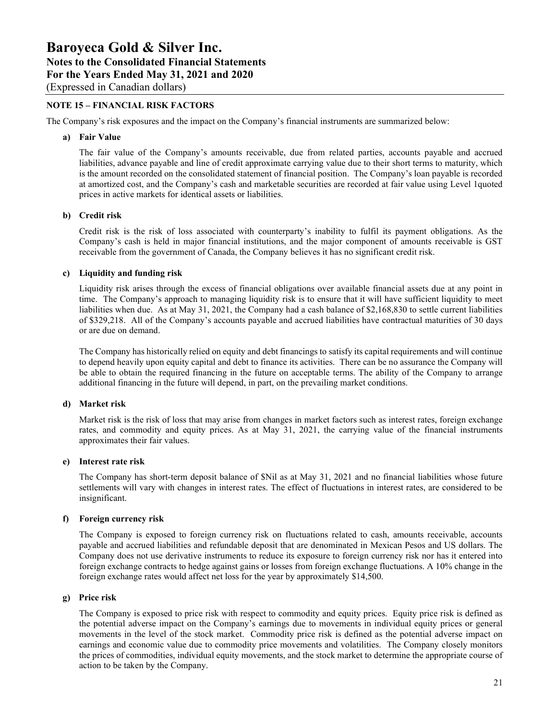#### NOTE 15 – FINANCIAL RISK FACTORS

The Company's risk exposures and the impact on the Company's financial instruments are summarized below:

#### a) Fair Value

The fair value of the Company's amounts receivable, due from related parties, accounts payable and accrued liabilities, advance payable and line of credit approximate carrying value due to their short terms to maturity, which is the amount recorded on the consolidated statement of financial position. The Company's loan payable is recorded at amortized cost, and the Company's cash and marketable securities are recorded at fair value using Level 1quoted prices in active markets for identical assets or liabilities.

#### b) Credit risk

Credit risk is the risk of loss associated with counterparty's inability to fulfil its payment obligations. As the Company's cash is held in major financial institutions, and the major component of amounts receivable is GST receivable from the government of Canada, the Company believes it has no significant credit risk.

#### c) Liquidity and funding risk

Liquidity risk arises through the excess of financial obligations over available financial assets due at any point in time. The Company's approach to managing liquidity risk is to ensure that it will have sufficient liquidity to meet liabilities when due. As at May 31, 2021, the Company had a cash balance of \$2,168,830 to settle current liabilities of \$329,218. All of the Company's accounts payable and accrued liabilities have contractual maturities of 30 days or are due on demand.

The Company has historically relied on equity and debt financings to satisfy its capital requirements and will continue to depend heavily upon equity capital and debt to finance its activities. There can be no assurance the Company will be able to obtain the required financing in the future on acceptable terms. The ability of the Company to arrange additional financing in the future will depend, in part, on the prevailing market conditions.

#### d) Market risk

Market risk is the risk of loss that may arise from changes in market factors such as interest rates, foreign exchange rates, and commodity and equity prices. As at May 31, 2021, the carrying value of the financial instruments approximates their fair values.

#### e) Interest rate risk

The Company has short-term deposit balance of \$Nil as at May 31, 2021 and no financial liabilities whose future settlements will vary with changes in interest rates. The effect of fluctuations in interest rates, are considered to be insignificant.

#### f) Foreign currency risk

The Company is exposed to foreign currency risk on fluctuations related to cash, amounts receivable, accounts payable and accrued liabilities and refundable deposit that are denominated in Mexican Pesos and US dollars. The Company does not use derivative instruments to reduce its exposure to foreign currency risk nor has it entered into foreign exchange contracts to hedge against gains or losses from foreign exchange fluctuations. A 10% change in the foreign exchange rates would affect net loss for the year by approximately \$14,500.

#### g) Price risk

The Company is exposed to price risk with respect to commodity and equity prices. Equity price risk is defined as the potential adverse impact on the Company's earnings due to movements in individual equity prices or general movements in the level of the stock market. Commodity price risk is defined as the potential adverse impact on earnings and economic value due to commodity price movements and volatilities. The Company closely monitors the prices of commodities, individual equity movements, and the stock market to determine the appropriate course of action to be taken by the Company.